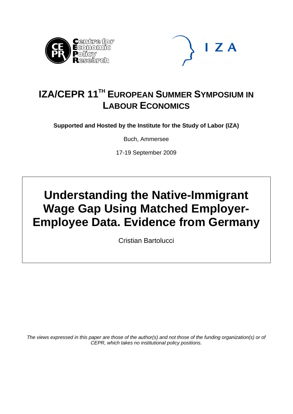



## **IZA/CEPR 11TH EUROPEAN SUMMER SYMPOSIUM IN LABOUR ECONOMICS**

**Supported and Hosted by the Institute for the Study of Labor (IZA)** 

Buch, Ammersee

17-19 September 2009

# **Understanding the Native-Immigrant Wage Gap Using Matched Employer-Employee Data. Evidence from Germany**

Cristian Bartolucci

*The views expressed in this paper are those of the author(s) and not those of the funding organization(s) or of CEPR, which takes no institutional policy positions.*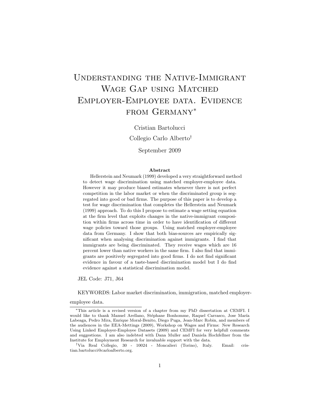## Understanding the Native-Immigrant WAGE GAP USING MATCHED Employer-Employee data. Evidence from Germany<sup>∗</sup>

Cristian Bartolucci

Collegio Carlo Alberto†

September 2009

#### Abstract

Hellerstein and Neumark (1999) developed a very straightforward method to detect wage discrimination using matched employer-employee data. However it may produce biased estimates whenever there is not perfect competition in the labor market or when the discriminated group is segregated into good or bad firms. The purpose of this paper is to develop a test for wage discrimination that completes the Hellerstein and Neumark (1999) approach. To do this I propose to estimate a wage setting equation at the firm level that exploits changes in the native-immigrant composition within firms across time in order to have identification of different wage policies toward those groups. Using matched employer-employee data from Germany. I show that both bias-sources are empirically significant when analysing discrimination against immigrants. I find that immigrants are being discriminated. They receive wages which are 16 percent lower than native workers in the same firm. I also find that immigrants are positively segregated into good firms. I do not find significant evidence in favour of a taste-based discrimination model but I do find evidence against a statistical discrimination model.

JEL Code: J71, J64

KEYWORDS: Labor market discrimination, immigration, matched employer-

employee data.

<sup>∗</sup>This article is a revised version of a chapter from my PhD dissertation at CEMFI. I would like to thank Manuel Arellano, Stéphane Bonhomme, Raquel Carrasco, Jose María Labeaga, Pedro Mira, Enrique Moral-Benito, Diego Puga, Jean-Marc Robin, and members of the audiences in the EEA-Mettings (2009), Workshop on Wages and Firms: New Research Using Linked Employer-Employee Datasets (2009) and CEMFI for very helpfull comments and suggestions. I am also indebted with Dana Muller and Daniela Hochfellner from the Institute for Employment Research for invaluable support with the data.

<sup>†</sup>Via Real Collegio, 30 - 10024 - Moncalieri (Torino), Italy. Email: cristian.bartolucci@carloalberto.org.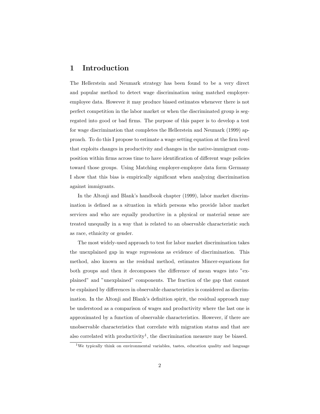## 1 Introduction

The Hellerstein and Neumark strategy has been found to be a very direct and popular method to detect wage discrimination using matched employeremployee data. However it may produce biased estimates whenever there is not perfect competition in the labor market or when the discriminated group is segregated into good or bad firms. The purpose of this paper is to develop a test for wage discrimination that completes the Hellerstein and Neumark (1999) approach. To do this I propose to estimate a wage setting equation at the firm level that exploits changes in productivity and changes in the native-immigrant composition within firms across time to have identification of different wage policies toward those groups. Using Matching employer-employee data form Germany I show that this bias is empirically significant when analyzing discrimination against immigrants.

In the Altonji and Blank's handbook chapter (1999), labor market discrimination is defined as a situation in which persons who provide labor market services and who are equally productive in a physical or material sense are treated unequally in a way that is related to an observable characteristic such as race, ethnicity or gender.

The most widely-used approach to test for labor market discrimination takes the unexplained gap in wage regressions as evidence of discrimination. This method, also known as the residual method, estimates Mincer-equations for both groups and then it decomposes the difference of mean wages into "explained" and "unexplained" components. The fraction of the gap that cannot be explained by differences in observable characteristics is considered as discrimination. In the Altonji and Blank's definition spirit, the residual approach may be understood as a comparison of wages and productivity where the last one is approximated by a function of observable characteristics. However, if there are unobservable characteristics that correlate with migration status and that are also correlated with productivity<sup>1</sup>, the discrimination measure may be biased.

<sup>&</sup>lt;sup>1</sup>We typically think on environmental variables, tastes, education quality and language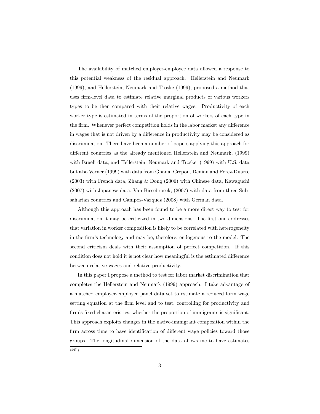The availability of matched employer-employee data allowed a response to this potential weakness of the residual approach. Hellerstein and Neumark (1999), and Hellerstein, Neumark and Troske (1999), proposed a method that uses firm-level data to estimate relative marginal products of various workers types to be then compared with their relative wages. Productivity of each worker type is estimated in terms of the proportion of workers of each type in the firm. Whenever perfect competition holds in the labor market any difference in wages that is not driven by a difference in productivity may be considered as discrimination. There have been a number of papers applying this approach for different countries as the already mentioned Hellerstein and Neumark, (1999) with Israeli data, and Hellerstein, Neumark and Troske, (1999) with U.S. data but also Verner (1999) with data from Ghana, Crepon, Deniau and Pérez-Duarte (2003) with French data, Zhang & Dong (2006) with Chinese data, Kawaguchi (2007) with Japanese data, Van Biesebroeck, (2007) with data from three Subsaharian countries and Campos-Vazquez (2008) with German data.

Although this approach has been found to be a more direct way to test for discrimination it may be criticized in two dimensions: The first one addresses that variation in worker composition is likely to be correlated with heterogeneity in the firm's technology and may be, therefore, endogenous to the model. The second criticism deals with their assumption of perfect competition. If this condition does not hold it is not clear how meaningful is the estimated difference between relative-wages and relative-productivity.

In this paper I propose a method to test for labor market discrimination that completes the Hellerstein and Neumark (1999) approach. I take advantage of a matched employer-employee panel data set to estimate a reduced form wage setting equation at the firm level and to test, controlling for productivity and firm's fixed characteristics, whether the proportion of immigrants is significant. This approach exploits changes in the native-immigrant composition within the firm across time to have identification of different wage policies toward those groups. The longitudinal dimension of the data allows me to have estimates skills.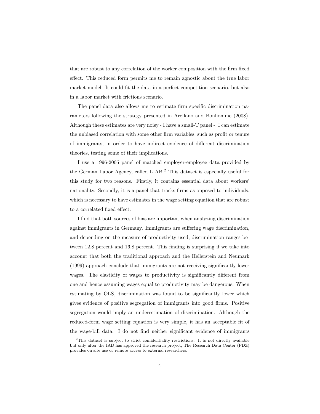that are robust to any correlation of the worker composition with the firm fixed effect. This reduced form permits me to remain agnostic about the true labor market model. It could fit the data in a perfect competition scenario, but also in a labor market with frictions scenario.

The panel data also allows me to estimate firm specific discrimination parameters following the strategy presented in Arellano and Bonhomme (2008). Although these estimates are very noisy - I have a small-T panel -, I can estimate the unbiased correlation with some other firm variables, such as profit or tenure of immigrants, in order to have indirect evidence of different discrimination theories, testing some of their implications.

I use a 1996-2005 panel of matched employer-employee data provided by the German Labor Agency, called LIAB.<sup>2</sup> This dataset is especially useful for this study for two reasons. Firstly, it contains essential data about workers' nationality. Secondly, it is a panel that tracks firms as opposed to individuals, which is necessary to have estimates in the wage setting equation that are robust to a correlated fixed effect.

I find that both sources of bias are important when analyzing discrimination against immigrants in Germany. Immigrants are suffering wage discrimination, and depending on the measure of productivity used, discrimination ranges between 12.8 percent and 16.8 percent. This finding is surprising if we take into account that both the traditional approach and the Hellerstein and Neumark (1999) approach conclude that immigrants are not receiving significantly lower wages. The elasticity of wages to productivity is significantly different from one and hence assuming wages equal to productivity may be dangerous. When estimating by OLS, discrimination was found to be significantly lower which gives evidence of positive segregation of immigrants into good firms. Positive segregation would imply an underestimation of discrimination. Although the reduced-form wage setting equation is very simple, it has an acceptable fit of the wage-bill data. I do not find neither significant evidence of immigrants

<sup>&</sup>lt;sup>2</sup>This dataset is subject to strict confidentiality restrictions. It is not directly available but only after the IAB has approved the research project, The Research Data Center (FDZ) provides on site use or remote access to external researchers.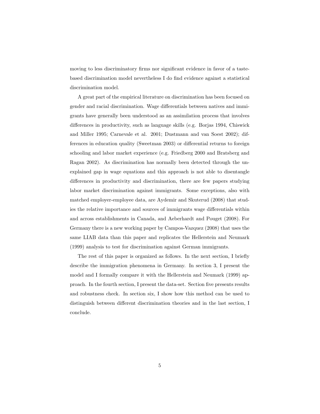moving to less discriminatory firms nor significant evidence in favor of a tastebased discrimination model nevertheless I do find evidence against a statistical discrimination model.

A great part of the empirical literature on discrimination has been focused on gender and racial discrimination. Wage differentials between natives and immigrants have generally been understood as an assimilation process that involves differences in productivity, such as language skills (e.g. Borjas 1994, Chiswick and Miller 1995; Carnevale et al. 2001; Dustmann and van Soest 2002); differences in education quality (Sweetman 2003) or differential returns to foreign schooling and labor market experience (e.g. Friedberg 2000 and Bratsberg and Ragan 2002). As discrimination has normally been detected through the unexplained gap in wage equations and this approach is not able to disentangle differences in productivity and discrimination, there are few papers studying labor market discrimination against immigrants. Some exceptions, also with matched employer-employee data, are Aydemir and Skuterud (2008) that studies the relative importance and sources of immigrants wage differentials within and across establishments in Canada, and Aeberhardt and Pouget (2008). For Germany there is a new working paper by Campos-Vazquez (2008) that uses the same LIAB data than this paper and replicates the Hellerstein and Neumark (1999) analysis to test for discrimination against German immigrants.

The rest of this paper is organized as follows. In the next section, I briefly describe the immigration phenomena in Germany. In section 3, I present the model and I formally compare it with the Hellerstein and Neumark (1999) approach. In the fourth section, I present the data-set. Section five presents results and robustness check. In section six, I show how this method can be used to distinguish between different discrimination theories and in the last section, I conclude.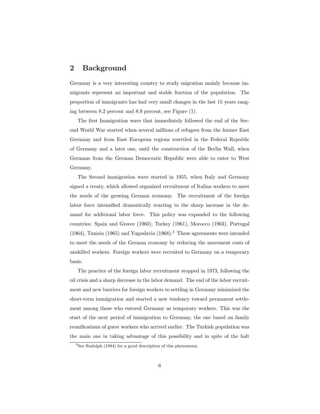## 2 Background

Germany is a very interesting country to study migration mainly because immigrants represent an important and stable fraction of the population. The proportion of immigrants has had very small changes in the last 15 years ranging between 8.2 percent and 8.9 percent, see Figure (1).

The first Immigration wave that immediately followed the end of the Second World War started when several millions of refugees from the former East Germany and from East European regions resettled in the Federal Republic of Germany and a later one, until the construction of the Berlin Wall, when Germans from the German Democratic Republic were able to enter to West Germany.

The Second immigration wave started in 1955, when Italy and Germany signed a treaty, which allowed organized recruitment of Italian workers to meet the needs of the growing German economy. The recruitment of the foreign labor force intensified dramatically reacting to the sharp increase in the demand for additional labor force. This policy was expanded to the following countries: Spain and Greece (1960), Turkey (1961), Morocco (1963), Portugal  $(1964)$ , Tunisia  $(1965)$  and Yugoslavia  $(1968)$ .<sup>3</sup> These agreements were intended to meet the needs of the German economy by reducing the movement costs of unskilled workers. Foreign workers were recruited to Germany on a temporary basis.

The practice of the foreign labor recruitment stopped in 1973, following the oil crisis and a sharp decrease in the labor demand. The end of the labor recruitment and new barriers for foreign workers to settling in Germany minimized the short-term immigration and started a new tendency toward permanent settlement among those who entered Germany as temporary workers. This was the start of the next period of immigration to Germany, the one based on family reunifications of guest workers who arrived earlier. The Turkish population was the main one in taking advantage of this possibility and in spite of the halt

 $3$ See Rudolph (1994) for a good description of this phenomena.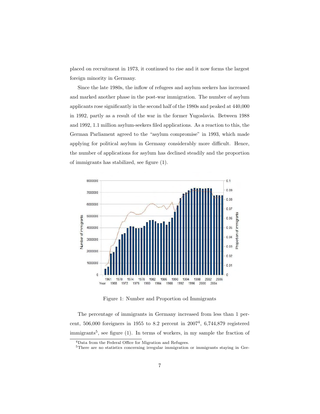placed on recruitment in 1973, it continued to rise and it now forms the largest foreign minority in Germany.

Since the late 1980s, the inflow of refugees and asylum seekers has increased and marked another phase in the post-war immigration. The number of asylum applicants rose significantly in the second half of the 1980s and peaked at 440,000 in 1992, partly as a result of the war in the former Yugoslavia. Between 1988 and 1992, 1.1 million asylum-seekers filed applications. As a reaction to this, the German Parliament agreed to the "asylum compromise" in 1993, which made applying for political asylum in Germany considerably more difficult. Hence, the number of applications for asylum has declined steadily and the proportion of immigrants has stabilized, see figure (1).



Figure 1: Number and Proportion od Immigrants

The percentage of immigrants in Germany increased from less than 1 percent,  $506,000$  foreigners in 1955 to 8.2 percent in  $2007<sup>4</sup>$ , 6,744,879 registered immigrants<sup>5</sup>, see figure (1). In terms of workers, in my sample the fraction of

<sup>4</sup>Data from the Federal Office for Migration and Refugees.

<sup>5</sup>There are no statistics concerning irregular immigration or immigrants staying in Ger-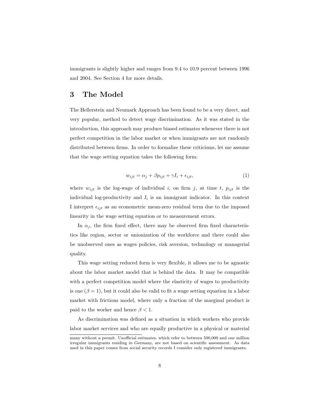immigrants is slightly higher and ranges from 9.4 to 10.9 percent between 1996 and 2004. See Section 4 for more details.

## 3 The Model

The Hellerstein and Neumark Approach has been found to be a very direct, and very popular, method to detect wage discrimination. As it was stated in the introduction, this approach may produce biased estimates whenever there is not perfect competition in the labor market or when immigrants are not randomly distributed between firms. In order to formalize these criticisms, let me assume that the wage setting equation takes the following form:

$$
w_{ijt} = \alpha_j + \beta p_{ijt} + \gamma I_i + \epsilon_{ijt},\tag{1}
$$

where  $w_{ijt}$  is the log-wage of individual i, on firm j, at time t,  $p_{ijt}$  is the individual log-productivity and  $I_i$  is an immigrant indicator. In this context I interpret  $\epsilon_{ijt}$  as an econometric mean-zero residual term due to the imposed linearity in the wage setting equation or to measurement errors.

In  $\alpha_i$ , the firm fixed effect, there may be observed firm fixed characteristics like region, sector or unionization of the workforce and there could also be unobserved ones as wages policies, risk aversion, technology or managerial quality.

This wage setting reduced form is very flexible, it allows me to be agnostic about the labor market model that is behind the data. It may be compatible with a perfect competition model where the elasticity of wages to productivity is one  $(\beta = 1)$ , but it could also be valid to fit a wage setting equation in a labor market with frictions model, where only a fraction of the marginal product is paid to the worker and hence  $\beta < 1$ .

As discrimination was defined as a situation in which workers who provide labor market services and who are equally productive in a physical or material

many without a permit. Unofficial estimates, which refer to between 500,000 and one million irregular immigrants residing in Germany, are not based on scientific assessment. As data used in this paper comes from social security records I consider only registered immigrants.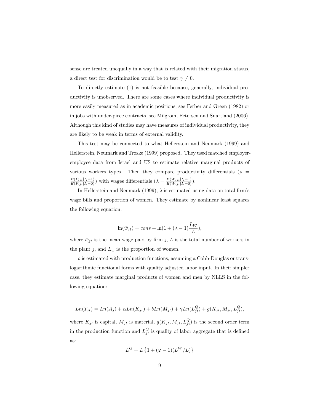sense are treated unequally in a way that is related with their migration status, a direct test for discrimination would be to test  $\gamma \neq 0$ .

To directly estimate (1) is not feasible because, generally, individual productivity is unobserved. There are some cases where individual productivity is more easily measured as in academic positions, see Ferber and Green (1982) or in jobs with under-piece contracts, see Milgrom, Petersen and Snartland (2006). Although this kind of studies may have measures of individual productivity, they are likely to be weak in terms of external validity.

This test may be connected to what Hellerstein and Neumark (1999) and Hellerstein, Neumark and Troske (1999) proposed. They used matched employeremployee data from Israel and US to estimate relative marginal products of various workers types. Then they compare productivity differentials ( $\rho =$  $\frac{E(P_{ijt}|I_i=1)}{E(P_{ijt}|I_i=0)}$  with wages differentials  $(\lambda = \frac{E(W_{ijt}|I_i=1)}{E(W_{ijt}|I_i=0)})$ .

In Hellerstein and Neumark (1999),  $\lambda$  is estimated using data on total firm's wage bills and proportion of women. They estimate by nonlinear least squares the following equation:

$$
\ln(\bar{w}_{jt}) = cons + \ln(1 + (\lambda - 1)\frac{L_W}{L}),
$$

where  $\bar{w}_{jt}$  is the mean wage paid by firm j, L is the total number of workers in the plant j, and  $L_w$  is the proportion of women.

 $\rho$  is estimated with production functions, assuming a Cobb-Douglas or translogarithmic functional forms with quality adjusted labor input. In their simpler case, they estimate marginal products of women and men by NLLS in the following equation:

$$
Ln(Y_{jt}) = Ln(A_j) + \alpha Ln(K_{jt}) + bLn(M_{jt}) + \gamma Ln(L_{jt}^{Q}) + g(K_{jt}, M_{jt}, L_{jt}^{Q}),
$$

where  $K_{jt}$  is capital,  $M_{jt}$  is material,  $g(K_{jt}, M_{jt}, L_{jt}^Q)$  is the second order term in the production function and  $L_{jt}^Q$  is quality of labor aggregate that is defined as:

$$
L^{Q} = L\left\{1 + (\varphi - 1)(L^{W}/L)\right\}
$$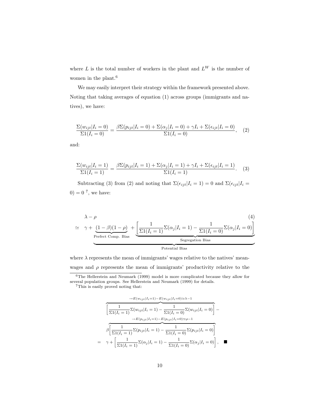where  $L$  is the total number of workers in the plant and  $L^W$  is the number of women in the plant.<sup>6</sup>

We may easily interpret their strategy within the framework presented above. Noting that taking averages of equation (1) across groups (immigrants and natives), we have:

$$
\frac{\Sigma(w_{ijt}|I_i=0)}{\Sigma(1(I_i=0))} = \frac{\beta \Sigma(p_{ijt}|I_i=0) + \Sigma(\alpha_j|I_i=0) + \gamma I_i + \Sigma(\epsilon_{ijt}|I_i=0)}{\Sigma(1(I_i=0))},
$$
 (2)

and:

$$
\frac{\Sigma(w_{ijt}|I_i=1)}{\Sigma(1(I_i=1))} = \frac{\beta \Sigma(p_{ijt}|I_i=1) + \Sigma(\alpha_j|I_i=1) + \gamma I_i + \Sigma(\epsilon_{ijt}|I_i=1)}{\Sigma(1(I_i=1))}.
$$
 (3)

Subtracting (3) from (2) and noting that  $\Sigma(\epsilon_{ijt}|I_i = 1) = 0$  and  $\Sigma(\epsilon_{ijt}|I_i = 1)$  $0 = 0^7$ , we have:

$$
\lambda - \rho \qquad (4)
$$
\n
$$
\simeq \gamma + \underbrace{(1 - \beta)(1 - \rho)}_{\text{Perfect Comp. Bias}} + \underbrace{\left[\frac{1}{\Sigma 1(I_i = 1)} \Sigma(\alpha_j | I_i = 1) - \frac{1}{\Sigma 1(I_i = 0)} \Sigma(\alpha_j | I_i = 0)\right]}_{\text{Segregation Bias}}
$$
\n(4)

where  $\lambda$  represents the mean of immigrants' wages relative to the natives' meanwages and  $\rho$  represents the mean of immigrants' productivity relative to the

<sup>6</sup>The Hellerstein and Neumark (1999) model is more complicated because they allow for several population groups. See Hellerstein and Neumark (1999) for details.

 $^7\mathrm{This}$  is easily proved noting that:

$$
\frac{\partial E(w_{ijt}|I_{i}=1) - E(w_{ijt}|I_{i}=0) \approx \lambda - 1}{\left[\frac{1}{\Sigma 1(I_{i}=1)} \Sigma(w_{ijt}|I_{i}=1) - \frac{1}{\Sigma 1(I_{i}=0)} \Sigma(w_{ijt}|I_{i}=0)\right]} - \frac{E(p_{ijt}|I_{i}=1) - E(p_{ijt}|I_{i}=0) \approx \rho - 1}{\beta \left[\frac{1}{\Sigma 1(I_{i}=1)} \Sigma(p_{ijt}|I_{i}=1) - \frac{1}{\Sigma 1(I_{i}=0)} \Sigma(p_{ijt}|I_{i}=0)\right]}
$$
\n
$$
= \gamma + \left[\frac{1}{\Sigma 1(I_{i}=1)} \Sigma(\alpha_{j}|I_{i}=1) - \frac{1}{\Sigma 1(I_{i}=0)} \Sigma(\alpha_{j}|I_{i}=0)\right], \quad \blacksquare
$$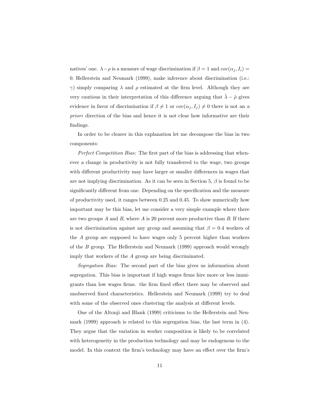natives' one.  $\lambda - \rho$  is a measure of wage discrimination if  $\beta = 1$  and  $cov(\alpha_j, I_i) =$ 0. Hellerstein and Neumark (1999), make inference about discrimination (i.e.:  $γ$ ) simply comparing  $λ$  and  $ρ$  estimated at the firm level. Although they are very cautious in their interpretation of this difference arguing that  $\lambda - \hat{\rho}$  gives evidence in favor of discrimination if  $\beta \neq 1$  or  $cov(\alpha_j, I_j) \neq 0$  there is not an a priori direction of the bias and hence it is not clear how informative are their findings.

In order to be clearer in this explanation let me decompose the bias in two components:

Perfect Competition Bias: The first part of the bias is addressing that whenever a change in productivity is not fully transferred to the wage, two groups with different productivity may have larger or smaller differences in wages that are not implying discrimination. As it can be seen in Section 5,  $\beta$  is found to be significantly different from one. Depending on the specification and the measure of productivity used, it ranges between 0.25 and 0.45. To show numerically how important may be this bias, let me consider a very simple example where there are two groups  $A$  and  $B$ , where  $A$  is 20 percent more productive than  $B$ . If there is not discrimination against any group and assuming that  $\beta = 0.4$  workers of the A group are supposed to have wages only 5 percent higher than workers of the B group. The Hellerstein and Neumark (1999) approach would wrongly imply that workers of the A group are being discriminated.

Segregation Bias: The second part of the bias gives us information about segregation. This bias is important if high wages firms hire more or less immigrants than low wages firms. the firm fixed effect there may be observed and unobserved fixed characteristics. Hellerstein and Neumark (1999) try to deal with some of the observed ones clustering the analysis at different levels.

One of the Altonji and Blank (1999) criticisms to the Hellerstein and Neumark (1999) approach is related to this segregation bias, the last term in (4). They argue that the variation in worker composition is likely to be correlated with heterogeneity in the production technology and may be endogenous to the model. In this context the firm's technology may have an effect over the firm's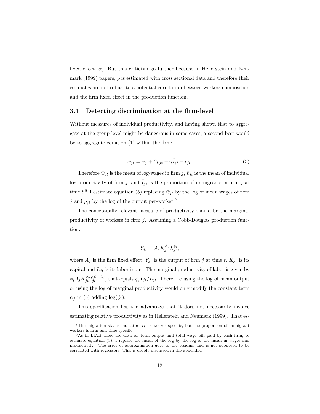fixed effect,  $\alpha_j$ . But this criticism go further because in Hellerstein and Neumark (1999) papers,  $\rho$  is estimated with cross sectional data and therefore their estimates are not robust to a potential correlation between workers composition and the firm fixed effect in the production function.

#### 3.1 Detecting discrimination at the firm-level

Without measures of individual productivity, and having shown that to aggregate at the group level might be dangerous in some cases, a second best would be to aggregate equation (1) within the firm:

$$
\bar{w}_{jt} = \alpha_j + \beta \bar{p}_{jt} + \gamma \bar{I}_{jt} + \bar{\epsilon}_{jt}.
$$
\n(5)

Therefore  $\bar{w}_{jt}$  is the mean of log-wages in firm j,  $\bar{p}_{jt}$  is the mean of individual log-productivity of firm j, and  $\bar{I}_{jt}$  is the proportion of immigrants in firm j at time  $t.^8$  I estimate equation (5) replacing  $\bar{w}_{jt}$  by the log of mean wages of firm j and  $\bar{p}_{jt}$  by the log of the output per-worker.<sup>9</sup>

The conceptually relevant measure of productivity should be the marginal productivity of workers in firm j. Assuming a Cobb-Douglas production function:

$$
Y_{jt} = A_j K_{jt}^{\phi_k} L_{jt}^{\phi_l},
$$

where  $A_j$  is the firm fixed effect,  $Y_{it}$  is the output of firm j at time t,  $K_{it}$  is its capital and  $L_{jt}$  is its labor input. The marginal productivity of labor is given by  $\phi_l A_j K_{jt}^{\phi_k} l_{jt}^{(\phi_l-1)}$ , that equals  $\phi_l Y_{jt}/L_{jt}$ . Therefore using the log of mean output or using the log of marginal productivity would only modify the constant term  $\alpha_j$  in (5) adding  $\log(\phi_l)$ .

This specification has the advantage that it does not necessarily involve estimating relative productivity as in Hellerstein and Neumark (1999). That es-

 $8$ The migration status indicator,  $I_i$ , is worker specific, but the proportion of immigrant workers is firm and time specific

<sup>9</sup>As in LIAB there are data on total output and total wage bill paid by each firm, to estimate equation (5), I replace the mean of the log by the log of the mean in wages and productivity. The error of approximation goes to the residual and is not supposed to be correlated with regressors. This is deeply discussed in the appendix.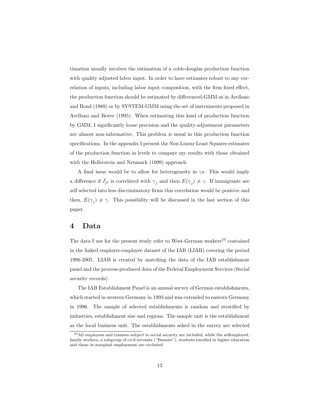timation usually involves the estimation of a cobb-douglas production function with quality adjusted labor input. In order to have estimates robust to any correlation of inputs, including labor input composition, with the firm fixed effect, the production function should be estimated by differenced-GMM as in Arellano and Bond (1989) or by SYSTEM-GMM using the set of instruments proposed in Arellano and Bover (1995). When estimating this kind of production function by GMM, I significantly loose precision and the quality-adjustment parameters are almost non-informative. This problem is usual in this production function specifications. In the appendix I present the Non Linear Least Squares estimates of the production function in levels to compare my results with those obtained with the Hellerstein and Neumark (1999) approach.

A final issue would be to allow for heterogeneity in  $\gamma$ s. This would imply a difference if  $\bar{I}_{jt}$  is correlated with  $\gamma_j$  and then  $E(\gamma_j) \neq \gamma$ . If immigrants are self selected into less discriminatory firms this correlation would be positive and then,  $E(\gamma_j) \neq \gamma$ . This possibility will be discussed in the last section of this paper.

### 4 Data

The data I use for the present study refer to West-German workers<sup>10</sup> contained in the linked employer-employee dataset of the IAB (LIAB) covering the period 1996-2005. LIAB is created by matching the data of the IAB establishment panel and the process-produced data of the Federal Employment Services (Social security records).

The IAB Establishment Panel is an annual survey of German establishments, which started in western Germany in 1993 and was extended to eastern Germany in 1996. The sample of selected establishments is random and stratified by industries, establishment size and regions. The sample unit is the establishment as the local business unit. The establishments asked in the survey are selected

 $10$ All employees and trainees subject to social security are included, while the selfemployed, family workers, a subgroup of civil servants ("Beamte"), students enrolled in higher education and those in marginal employment are excluded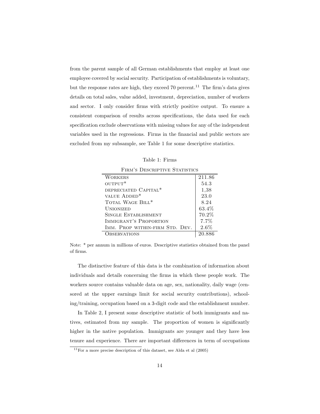from the parent sample of all German establishments that employ at least one employee covered by social security. Participation of establishments is voluntary, but the response rates are high, they exceed 70 percent.<sup>11</sup> The firm's data gives details on total sales, value added, investment, depreciation, number of workers and sector. I only consider firms with strictly positive output. To ensure a consistent comparison of results across specifications, the data used for each specification exclude observations with missing values for any of the independent variables used in the regressions. Firms in the financial and public sectors are excluded from my subsample, see Table 1 for some descriptive statistics.

Table 1: Firms  $F_{\text{IDM}}$ 's Descriptive Statistics

| т пыл э-резушт нүе этинэноэ      |         |  |  |
|----------------------------------|---------|--|--|
| <b>WORKERS</b>                   | 211.86  |  |  |
| $OUTPUT*$                        | 54.3    |  |  |
| DEPRECIATED CAPITAL <sup>*</sup> | 1,38    |  |  |
| VALUE ADDED <sup>*</sup>         | 23.0    |  |  |
| TOTAL WAGE BILL*                 | 8.24    |  |  |
| <b>UNIONIZED</b>                 | 63.4\%  |  |  |
| SINGLE ESTABLISHMENT             | 70.2%   |  |  |
| IMMIGRANT'S PROPORTION           | $7.7\%$ |  |  |
| IMM. PROP WITHIN-FIRM STD. DEV.  | $2.6\%$ |  |  |
| <b>BSERVATIONS</b>               | 20.886  |  |  |

Note: \* per annum in millions of euros. Descriptive statistics obtained from the panel of firms.

The distinctive feature of this data is the combination of information about individuals and details concerning the firms in which these people work. The workers source contains valuable data on age, sex, nationality, daily wage (censored at the upper earnings limit for social security contributions), schooling/training, occupation based on a 3-digit code and the establishment number.

In Table 2, I present some descriptive statistic of both immigrants and natives, estimated from my sample. The proportion of women is significantly higher in the native population. Immigrants are younger and they have less tenure and experience. There are important differences in term of occupations

 $11$  For a more precise description of this dataset, see Alda et al  $(2005)$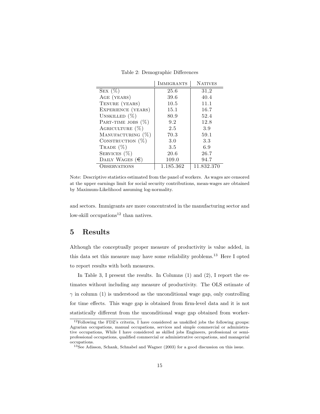Table 2: Demographic Differences

|                          | <b>IMMIGRANTS</b> | <b>NATIVES</b> |
|--------------------------|-------------------|----------------|
| SEX $(\%)$               | 25.6              | 31,2           |
| AGE (YEARS)              | 39.6              | 40.4           |
| TENURE (YEARS)           | 10.5              | 11.1           |
| EXPERIENCE (YEARS)       | 15.1              | 16.7           |
| UNSKILLED $(\%)$         | 80.9              | 52.4           |
| PART-TIME JOBS $(\%)$    | 9.2               | 12.8           |
| AGRICULTURE $(\%)$       | 2.5               | 3.9            |
| MANUFACTURING (%)        | 70.3              | 59.1           |
| CONSTRUCTION $(\%)$      | 3.0               | 3.3            |
| TRADE $(\%)$             | 3.5               | 6.9            |
| SERVICES $(\%)$          | 20.6              | 26.7           |
| DAILY WAGES $(\epsilon)$ | 109.0             | 94.7           |
| OBSERVATIONS             | 1.185.362         | 11.832.370     |

Note: Descriptive statistics estimated from the panel of workers. As wages are censored at the upper earnings limit for social security contributions, mean-wages are obtained by Maximum-Likelihood assuming log-normality.

and sectors. Immigrants are more concentrated in the manufacturing sector and low-skill occupations<sup>12</sup> than natives.

## 5 Results

Although the conceptually proper measure of productivity is value added, in this data set this measure may have some reliability problems.<sup>13</sup> Here I opted to report results with both measures.

In Table 3, I present the results. In Columns (1) and (2), I report the estimates without including any measure of productivity. The OLS estimate of  $\gamma$  in column (1) is understood as the unconditional wage gap, only controlling for time effects. This wage gap is obtained from firm-level data and it is not statistically different from the unconditional wage gap obtained from worker-

<sup>12</sup>Following the FDZ's criteria, I have considered as unskilled jobs the following groups: Agrarian occupations, manual occupations, services and simple commercial or administrative occupations, While I have considered as skilled jobs Engineers, professional or semiprofessional occupations, qualified commercial or administrative occupations, and managerial occupations.

<sup>13</sup>See Adisson, Schank, Schnabel and Wagner (2003) for a good discussion on this issue.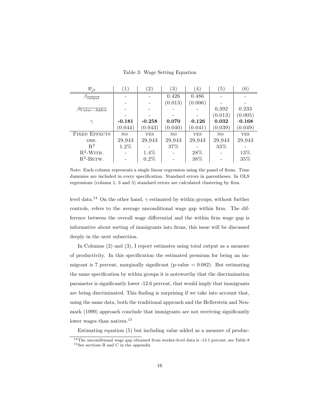| $\overline{w}_{jt}$            | $\left(1\right)$ | $\left( 2\right)$ | $\left(3\right)$ | (4)        | 5)      | (6)        |
|--------------------------------|------------------|-------------------|------------------|------------|---------|------------|
| $\beta_{\overline{output}}$    |                  |                   | 0.426            | 0.486      |         |            |
|                                |                  |                   | (0.013)          | (0.006)    |         |            |
| $\beta \overline{Value-Added}$ |                  |                   |                  |            | 0,392   | 0.233      |
|                                |                  |                   |                  |            | (0.013) | (0.005)    |
| $\gamma$                       | $-0.181$         | $-0.258$          | 0.070            | $-0.126$   | 0.032   | $-0.168$   |
|                                | (0.044)          | (0.043)           | (0.040)          | (0.041)    | (0.039) | (0.049)    |
| <b>FIXED EFFECTS</b>           | NO               | <b>YES</b>        | NO.              | <b>YES</b> | NO.     | <b>YES</b> |
| OBS.                           | 29,943           | 29,943            | 29,943           | 29,943     | 29,943  | 29,943     |
| $R^2$                          | 1.2%             |                   | 37%              |            | 33%     |            |
| $R^2$ -WITH.                   |                  | 1.4%              |                  | 28%        |         | 13%        |
| $R^2$ -BETW.                   |                  | $0.2\%$           |                  | 38%        |         | 35%        |

Table 3: Wage Setting Equation

Note: Each column represents a single linear regression using the panel of firms. Time dummies are included in every specification. Standard errors in parentheses. In OLS regressions (column 1, 3 and 5) standard errors are calculated clustering by firm.

level data.<sup>14</sup> On the other hand,  $\gamma$  estimated by within groups, without further controls, refers to the average unconditional wage gap within firm. The difference between the overall wage differential and the within firm wage gap is informative about sorting of immigrants into firms, this issue will be discussed deeply in the next subsection.

In Columns (2) and (3), I report estimates using total output as a measure of productivity. In this specification the estimated premium for being an immigrant is 7 percent, marginally significant (p-value  $= 0.082$ ). But estimating the same specification by within groups it is noteworthy that the discrimination parameter is significantly lower -12.6 percent, that would imply that immigrants are being discriminated. This finding is surprising if we take into account that, using the same data, both the traditional approach and the Hellerstein and Neumark (1999) approach conclude that immigrants are not receiving significantly lower wages than natives.<sup>15</sup>

Estimating equation (5) but including value added as a measure of produc-

<sup>14</sup>The unconditional wage gap obtained from worker-level data is -13.1 percent, see Table 8 <sup>15</sup>See sections B and C in the appendix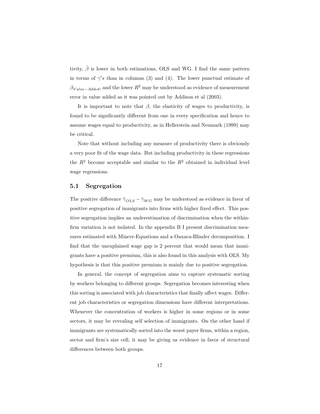tivity,  $\hat{\boldsymbol{\beta}}$  is lower in both estimations, OLS and WG. I find the same pattern in terms of  $\gamma'$ s than in columns (3) and (4). The lower punctual estimate of  $\beta_{Value-Added}$ , and the lower  $R^2$  may be understood as evidence of measurement error in value added as it was pointed out by Addison et al (2003).

It is important to note that  $\beta$ , the elasticity of wages to productivity, is found to be significantly different from one in every specification and hence to assume wages equal to productivity, as in Hellerstein and Neumark (1999) may be critical.

Note that without including any measure of productivity there is obviously a very poor fit of the wage data. But including productivity in these regressions the  $R^2$  become acceptable and similar to the  $R^2$  obtained in individual level wage regressions.

#### 5.1 Segregation

The positive difference  $\hat{\gamma}_{OLS} - \hat{\gamma}_{WG}$  may be understood as evidence in favor of positive segregation of immigrants into firms with higher fixed effect. This positive segregation implies an underestimation of discrimination when the withinfirm variation is not isolated. In the appendix B I present discrimination measures estimated with Mincer-Equations and a Oaxaca-Blinder decomposition. I find that the unexplained wage gap is 2 percent that would mean that immigrants have a positive premium, this is also found in this analysis with OLS. My hypothesis is that this positive premium is mainly due to positive segregation.

In general, the concept of segregation aims to capture systematic sorting by workers belonging to different groups. Segregation becomes interesting when this sorting is associated with job characteristics that finally affect wages. Different job characteristics or segregation dimensions have different interpretations. Whenever the concentration of workers is higher in some regions or in some sectors, it may be revealing self selection of immigrants. On the other hand if immigrants are systematically sorted into the worst payer firms, within a region, sector and firm's size cell, it may be giving us evidence in favor of structural differences between both groups.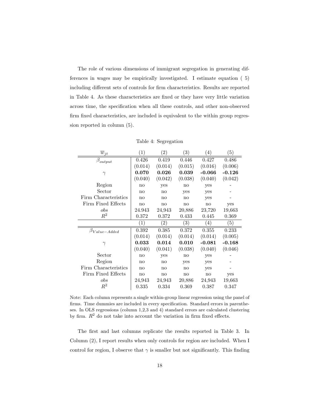The role of various dimensions of immigrant segregation in generating differences in wages may be empirically investigated. I estimate equation ( 5) including different sets of controls for firm characteristics. Results are reported in Table 4. As these characteristics are fixed or they have very little variation across time, the specification when all these controls, and other non-observed firm fixed characteristics, are included is equivalent to the within group regression reported in column (5).

| $\overline{w}_{\underline{j}\underline{t}}$ | $\left( 1\right)$ | $\left( 2\right)$ | $\left( 3\right)$ | $\left( 4\right)$ | (5)              |
|---------------------------------------------|-------------------|-------------------|-------------------|-------------------|------------------|
| $\beta_{output}$                            | 0.426             | 0.419             | 0.446             | 0.427             | 0.486            |
|                                             | (0.014)           | (0.014)           | (0.015)           | (0.016)           | (0.006)          |
| $\gamma$                                    | 0.070             | 0.026             | 0.039             | $-0.066$          | $-0.126$         |
|                                             | (0.040)           | (0.042)           | (0.038)           | (0.040)           | (0.042)          |
| Region                                      | no                | yes               | no                | yes               |                  |
| Sector                                      | no                | no                | yes               | yes               |                  |
| Firm Characteristics                        | no                | no                | no                | yes               |                  |
| Firm Fixed Effects                          | no                | no                | no                | no                | yes              |
| $_{obs}$                                    | 24.943            | 24,943            | 20,886            | 23,720            | 19,663           |
| $R^2$                                       | 0.372             | 0.372             | 0.433             | 0.445             | 0.369            |
|                                             |                   |                   |                   |                   |                  |
|                                             | $\left( 1\right)$ | $\left( 2\right)$ | $\left(3\right)$  | $\left( 4\right)$ | $\left(5\right)$ |
|                                             | 0.392             | 0.385             | 0.372             | 0.355             | 0.233            |
| $\beta_{Value-Added}$                       | (0.014)           | (0.014)           | (0.014)           | (0.014)           | (0.005)          |
| $\gamma$                                    | 0.033             | 0.014             | 0.010             | $-0.081$          | $-0.168$         |
|                                             | (0.040)           | (0.041)           | (0.038)           | (0.040)           | (0.046)          |
| Sector                                      | no                | yes               | no                | yes               |                  |
| Region                                      | no                | no                | yes               | yes               |                  |
| Firm Characteristics                        | no                | no                | no                | yes               |                  |
| Firm Fixed Effects                          | no                | no                | no                | no                | yes              |
| $_{obs}$                                    | 24,943            | 24,943            | 20,886            | 24,943            | 19,663           |

Table 4: Segregation

Note: Each column represents a single within-group linear regression using the panel of firms. Time dummies are included in every specification. Standard errors in parentheses. In OLS regressions (column 1,2,3 and 4) standard errors are calculated clustering by firm.  $R^2$  do not take into account the variation in firm fixed effects.

The first and last columns replicate the results reported in Table 3. In Column (2), I report results when only controls for region are included. When I control for region, I observe that  $\gamma$  is smaller but not significantly. This finding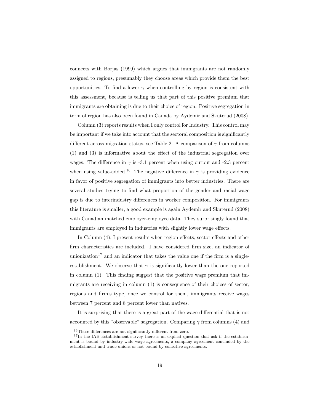connects with Borjas (1999) which argues that immigrants are not randomly assigned to regions, presumably they choose areas which provide them the best opportunities. To find a lower  $\gamma$  when controlling by region is consistent with this assessment, because is telling us that part of this positive premium that immigrants are obtaining is due to their choice of region. Positive segregation in term of region has also been found in Canada by Aydemir and Skuterud (2008).

Column (3) reports results when I only control for Industry. This control may be important if we take into account that the sectoral composition is significantly different across migration status, see Table 2. A comparison of  $\gamma$  from columns (1) and (3) is informative about the effect of the industrial segregation over wages. The difference in  $\gamma$  is -3.1 percent when using output and -2.3 percent when using value-added.<sup>16</sup> The negative difference in  $\gamma$  is providing evidence in favor of positive segregation of immigrants into better industries. There are several studies trying to find what proportion of the gender and racial wage gap is due to interindustry differences in worker composition. For immigrants this literature is smaller, a good example is again Aydemir and Skuterud (2008) with Canadian matched employer-employee data. They surprisingly found that immigrants are employed in industries with slightly lower wage effects.

In Column (4), I present results when region-effects, sector-effects and other firm characteristics are included. I have considered firm size, an indicator of unionization<sup>17</sup> and an indicator that takes the value one if the firm is a singleestablishment. We observe that  $\gamma$  is significantly lower than the one reported in column (1). This finding suggest that the positive wage premium that immigrants are receiving in column (1) is consequence of their choices of sector, regions and firm's type, once we control for them, immigrants receive wages between 7 percent and 8 percent lower than natives.

It is surprising that there is a great part of the wage differential that is not accounted by this "observable" segregation. Comparing  $\gamma$  from columns (4) and

<sup>16</sup>These differences are not significantly different from zero.

<sup>&</sup>lt;sup>17</sup>In the IAB Establishment survey there is an explicit question that ask if the establishment is bound by industry-wide wage agreements, a company agreement concluded by the establishment and trade unions or not bound by collective agreements.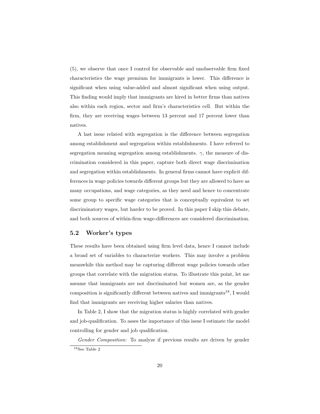(5), we observe that once I control for observable and unobservable firm fixed characteristics the wage premium for immigrants is lower. This difference is significant when using value-added and almost significant when using output. This finding would imply that immigrants are hired in better firms than natives also within each region, sector and firm's characteristics cell. But within the firm, they are receiving wages between 13 percent and 17 percent lower than natives.

A last issue related with segregation is the difference between segregation among establishment and segregation within establishments. I have referred to segregation meaning segregation among establishments.  $\gamma$ , the measure of discrimination considered in this paper, capture both direct wage discrimination and segregation within establishments. In general firms cannot have explicit differences in wage policies towards different groups but they are allowed to have as many occupations, and wage categories, as they need and hence to concentrate some group to specific wage categories that is conceptually equivalent to set discriminatory wages, but harder to be proved. In this paper I skip this debate, and both sources of within-firm wage-differences are considered discrimination.

#### 5.2 Worker's types

These results have been obtained using firm level data, hence I cannot include a broad set of variables to characterize workers. This may involve a problem meanwhile this method may be capturing different wage policies towards other groups that correlate with the migration status. To illustrate this point, let me assume that immigrants are not discriminated but women are, as the gender composition is significantly different between natives and immigrants<sup>18</sup>, I would find that immigrants are receiving higher salaries than natives.

In Table 2, I show that the migration status is highly correlated with gender and job-qualification. To asses the importance of this issue I estimate the model controlling for gender and job qualification.

Gender Composition: To analyze if previous results are driven by gender <sup>18</sup>See Table 2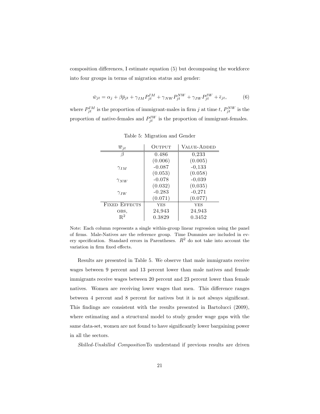composition differences, I estimate equation (5) but decomposing the workforce into four groups in terms of migration status and gender:

$$
\bar{w}_{jt} = \alpha_j + \beta \bar{p}_{jt} + \gamma_{IM} P_{jt}^{IM} + \gamma_{NW} P_{jt}^{NW} + \gamma_{IW} P_{jt}^{IW} + \bar{\epsilon}_{jt},
$$
(6)

where  $P_{jt}^{IM}$  is the proportion of immigrant-males in firm j at time t,  $P_{jt}^{NW}$  is the proportion of native-females and  $P_{jt}^{IW}$  is the proportion of immigrant-females.

| $w_{it}$             | OUTPUT     | <b>VALUE-ADDED</b> |
|----------------------|------------|--------------------|
|                      | 0.486      | 0,233              |
|                      | (0.006)    | (0.005)            |
| $\gamma_{IM}$        | $-0.087$   | $-0,133$           |
|                      | (0.053)    | (0.058)            |
| $\gamma_{NW}$        | $-0.078$   | $-0,039$           |
|                      | (0.032)    | (0,035)            |
| $\gamma_{IW}$        | $-0.283$   | $-0,271$           |
|                      | (0.071)    | (0.077)            |
| <b>FIXED EFFECTS</b> | <b>YES</b> | <b>YES</b>         |
| OBS,                 | 24,943     | 24,943             |
| $R^2$                | 0.3829     | 0.3452             |

Table 5: Migration and Gender

Note: Each column represents a single within-group linear regression using the panel of firms. Male-Natives are the reference group. Time Dummies are included in every specification. Standard errors in Parentheses.  $R^2$  do not take into account the variation in firm fixed effects.

Results are presented in Table 5. We observe that male immigrants receive wages between 9 percent and 13 percent lower than male natives and female immigrants receive wages between 20 percent and 23 percent lower than female natives. Women are receiving lower wages that men. This difference ranges between 4 percent and 8 percent for natives but it is not always significant. This findings are consistent with the results presented in Bartolucci (2009), where estimating and a structural model to study gender wage gaps with the same data-set, women are not found to have significantly lower bargaining power in all the sectors.

Skilled-Unskilled CompositionTo understand if previous results are driven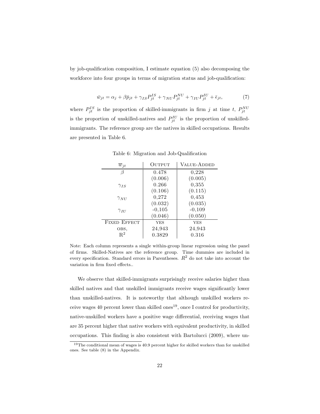by job-qualification composition, I estimate equation (5) also decomposing the workforce into four groups in terms of migration status and job-qualification:

$$
\bar{w}_{jt} = \alpha_j + \beta \bar{p}_{jt} + \gamma_{IS} P_{jt}^{IS} + \gamma_{NU} P_{jt}^{NU} + \gamma_{IU} P_{jt}^{IU} + \bar{\epsilon}_{jt},\tag{7}
$$

where  $P_{jt}^{IS}$  is the proportion of skilled-immigrants in firm j at time t,  $P_{jt}^{NU}$ is the proportion of unskilled-natives and  $P_{jt}^{IU}$  is the proportion of unskilledimmigrants. The reference group are the natives in skilled occupations. Results are presented in Table 6.

| $\overline{w}_{it}$ | OUTPUT     | <b>VALUE-ADDED</b> |
|---------------------|------------|--------------------|
|                     | 0.478      | 0,228              |
|                     | (0.006)    | (0.005)            |
| $\gamma_{IS}$       | 0.266      | 0,355              |
|                     | (0.106)    | (0.115)            |
| $\gamma_{NU}$       | 0,272      | 0,453              |
|                     | (0.032)    | (0.035)            |
| $\gamma_{II}$       | $-0,105$   | $-0,109$           |
|                     | (0.046)    | (0.050)            |
| <b>FIXED EFFECT</b> | <b>YES</b> | <b>YES</b>         |
| OBS,                | 24,943     | 24,943             |
| $\mathbf{R}^2$      | 0.3829     | 0.316              |

Table 6: Migration and Job-Qualification

Note: Each column represents a single within-group linear regression using the panel of firms. Skilled-Natives are the reference group. Time dummies are included in every specification. Standard errors in Parentheses.  $R^2$  do not take into account the variation in firm fixed effects..

We observe that skilled-immigrants surprisingly receive salaries higher than skilled natives and that unskilled immigrants receive wages significantly lower than unskilled-natives. It is noteworthy that although unskilled workers receive wages 40 percent lower than skilled ones<sup>19</sup>, once I control for productivity, native-unskilled workers have a positive wage differential, receiving wages that are 35 percent higher that native workers with equivalent productivity, in skilled occupations. This finding is also consistent with Bartolucci (2009), where un-

<sup>&</sup>lt;sup>19</sup>The conditional mean of wages is 40.9 percent higher for skilled workers than for unskilled ones. See table (8) in the Appendix.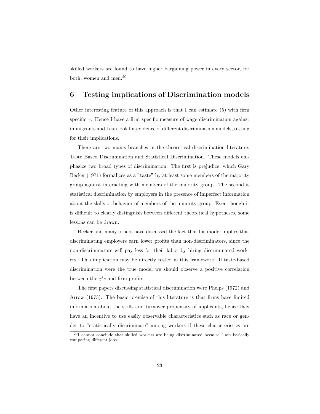skilled workers are found to have higher bargaining power in every sector, for both, women and men.<sup>20</sup>

## 6 Testing implications of Discrimination models

Other interesting feature of this approach is that I can estimate (5) with firm specific  $\gamma$ . Hence I have a firm specific measure of wage discrimination against immigrants and I can look for evidence of different discrimination models, testing for their implications.

There are two mains branches in the theoretical discrimination literature: Taste Based Discrimination and Statistical Discrimination. These models emphasize two broad types of discrimination. The first is prejudice, which Gary Becker (1971) formalizes as a "taste" by at least some members of the majority group against interacting with members of the minority group. The second is statistical discrimination by employers in the presence of imperfect information about the skills or behavior of members of the minority group. Even though it is difficult to clearly distinguish between different theoretical hypotheses, some lessons can be drawn.

Becker and many others have discussed the fact that his model implies that discriminating employers earn lower profits than non-discriminators, since the non-discriminators will pay less for their labor by hiring discriminated workers. This implication may be directly tested in this framework. If taste-based discrimination were the true model we should observe a positive correlation between the  $\gamma's$  and firm profits.

The first papers discussing statistical discrimination were Phelps (1972) and Arrow (1973). The basic premise of this literature is that firms have limited information about the skills and turnover propensity of applicants, hence they have an incentive to use easily observable characteristics such as race or gender to "statistically discriminate" among workers if these characteristics are

 $^{20}$ I cannot conclude that skilled workers are being discriminated because I am basically comparing different jobs.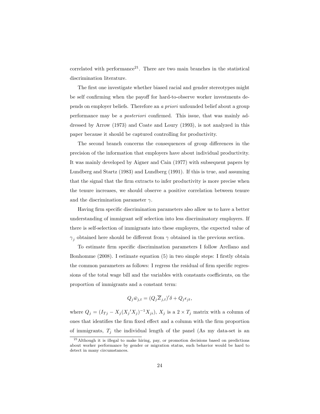correlated with performance<sup>21</sup>. There are two main branches in the statistical discrimination literature.

The first one investigate whether biased racial and gender stereotypes might be self confirming when the payoff for hard-to-observe worker investments depends on employer beliefs. Therefore an a priori unfounded belief about a group performance may be a posteriori confirmed. This issue, that was mainly addressed by Arrow (1973) and Coate and Loury (1993), is not analyzed in this paper because it should be captured controlling for productivity.

The second branch concerns the consequences of group differences in the precision of the information that employers have about individual productivity. It was mainly developed by Aigner and Cain (1977) with subsequent papers by Lundberg and Startz (1983) and Lundberg (1991). If this is true, and assuming that the signal that the firm extracts to infer productivity is more precise when the tenure increases, we should observe a positive correlation between tenure and the discrimination parameter  $\gamma$ .

Having firm specific discrimination parameters also allow us to have a better understanding of immigrant self selection into less discriminatory employers. If there is self-selection of immigrants into these employers, the expected value of  $\gamma_i$  obtained here should be different from  $\gamma$  obtained in the previous section.

To estimate firm specific discrimination parameters I follow Arellano and Bonhomme (2008). I estimate equation (5) in two simple steps: I firstly obtain the common parameters as follows: I regress the residual of firm specific regressions of the total wage bill and the variables with constants coefficients, on the proportion of immigrants and a constant term:

$$
Q_j \bar{w}_{j,t} = (Q_j \overline{Z}_{j,t})' \delta + Q_j \epsilon_{jt},
$$

where  $Q_j = (I_{Tj} - X_j(X_j'X_j)^{-1}X_{ji}), X_j$  is a  $2 \times T_j$  matrix with a column of ones that identifies the firm fixed effect and a column with the firm proportion of immigrants,  $T_j$  the individual length of the panel (As my data-set is an

<sup>21</sup>Although it is illegal to make hiring, pay, or promotion decisions based on predictions about worker performance by gender or migration status, such behavior would be hard to detect in many circumstances.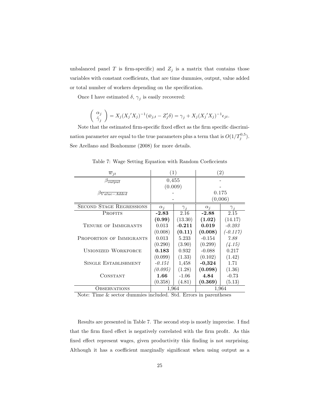unbalanced panel  $T$  is firm-specific) and  $Z_j$  is a matrix that contains those variables with constant coefficients, that are time dummies, output, value added or total number of workers depending on the specification.

Once I have estimated  $\delta$ ,  $\gamma_j$  is easily recovered:

$$
\begin{pmatrix} \alpha_j \\ \hat{\gamma}_j \end{pmatrix} = X_j (X_j' X_j)^{-1} (\bar{w}_{j,t} - Z'_j \delta) = \gamma_j + X_j (X_j' X_j)^{-1} \epsilon_{jt}.
$$

Note that the estimated firm-specific fixed effect as the firm specific discrimination parameter are equal to the true parameters plus a term that is  $O(1/T_j^{0.5})$ . See Arellano and Bonhomme (2008) for more details.

| $\overline{w}_{jt}$              |            | $\left(1\right)$ |            | $\left( 2\right)$ |
|----------------------------------|------------|------------------|------------|-------------------|
| $\beta_{output}$                 | 0,455      |                  |            |                   |
|                                  | (0.009)    |                  |            |                   |
| $\beta \overline{Value - added}$ |            |                  | 0.175      |                   |
|                                  |            |                  | (0,006)    |                   |
| <b>SECOND STAGE REGRESSIONS</b>  | $\alpha_i$ | $\gamma_i$       | $\alpha_i$ | ${\gamma}_i$      |
| <b>PROFITS</b>                   | $-2.83$    | 2.16             | $-2.88$    | 2.15              |
|                                  | (0.99)     | (13.30)          | (1.02)     | (14.17)           |
| TENURE OF IMMIGRANTS             | 0.013      | $-0.211$         | 0.019      | $-0.203$          |
|                                  | (0.008)    | (0.11)           | (0.008)    | $(-0.117)$        |
| PROPORTION OF IMMIGRANTS         | 0.013      | 5.233            | $-0.154$   | 7.88              |
|                                  | (0.290)    | (3.90)           | (0.299)    | (4.15)            |
| <b>UNIONIZED WORKFORCE</b>       | 0.183      | 0.932            | $-0.088$   | 0.217             |
|                                  | (0.099)    | (1.33)           | (0.102)    | (1.42)            |
| <b>SINGLE ESTABLISHMENT</b>      | $-0.151$   | 1,458            | $-0,324$   | 1.71              |
|                                  | (0.095)    | (1.28)           | (0.098)    | (1.36)            |
| CONSTANT                         | 1.66       | $-1.06$          | 4.84       | $-0.73$           |
|                                  | (0.358)    | (4.81)           | (0.369)    | (5.13)            |
| <b>OBSERVATIONS</b>              | 1,964      |                  |            | 1,964             |

Table 7: Wage Setting Equation with Random Coeficcients

Note: Time & sector dummies included. Std. Errors in parentheses

Results are presented in Table 7. The second step is mostly imprecise. I find that the firm fixed effect is negatively correlated with the firm profit. As this fixed effect represent wages, given productivity this finding is not surprising. Although it has a coefficient marginally significant when using output as a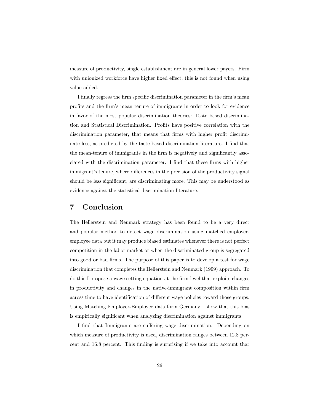measure of productivity, single establishment are in general lower payers. Firm with unionized workforce have higher fixed effect, this is not found when using value added.

I finally regress the firm specific discrimination parameter in the firm's mean profits and the firm's mean tenure of immigrants in order to look for evidence in favor of the most popular discrimination theories: Taste based discrimination and Statistical Discrimination. Profits have positive correlation with the discrimination parameter, that means that firms with higher profit discriminate less, as predicted by the taste-based discrimination literature. I find that the mean-tenure of immigrants in the firm is negatively and significantly associated with the discrimination parameter. I find that these firms with higher immigrant's tenure, where differences in the precision of the productivity signal should be less significant, are discriminating more. This may be understood as evidence against the statistical discrimination literature.

## 7 Conclusion

The Hellerstein and Neumark strategy has been found to be a very direct and popular method to detect wage discrimination using matched employeremployee data but it may produce biased estimates whenever there is not perfect competition in the labor market or when the discriminated group is segregated into good or bad firms. The purpose of this paper is to develop a test for wage discrimination that completes the Hellerstein and Neumark (1999) approach. To do this I propose a wage setting equation at the firm level that exploits changes in productivity and changes in the native-immigrant composition within firm across time to have identification of different wage policies toward those groups. Using Matching Employer-Employee data form Germany I show that this bias is empirically significant when analyzing discrimination against immigrants.

I find that Immigrants are suffering wage discrimination. Depending on which measure of productivity is used, discrimination ranges between 12.8 percent and 16.8 percent. This finding is surprising if we take into account that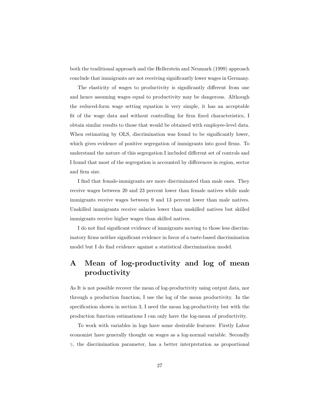both the traditional approach and the Hellerstein and Neumark (1999) approach conclude that immigrants are not receiving significantly lower wages in Germany.

The elasticity of wages to productivity is significantly different from one and hence assuming wages equal to productivity may be dangerous. Although the reduced-form wage setting equation is very simple, it has an acceptable fit of the wage data and without controlling for firm fixed characteristics, I obtain similar results to those that would be obtained with employee-level data. When estimating by OLS, discrimination was found to be significantly lower, which gives evidence of positive segregation of immigrants into good firms. To understand the nature of this segregation I included different set of controls and I found that most of the segregation is accounted by differences in region, sector and firm size.

I find that female-immigrants are more discriminated than male ones. They receive wages between 20 and 23 percent lower than female natives while male immigrants receive wages between 9 and 13 percent lower than male natives. Unskilled immigrants receive salaries lower than unskilled natives but skilled immigrants receive higher wages than skilled natives.

I do not find significant evidence of immigrants moving to those less discriminatory firms neither significant evidence in favor of a taste-based discrimination model but I do find evidence against a statistical discrimination model.

## A Mean of log-productivity and log of mean productivity

As It is not possible recover the mean of log-productivity using output data, nor through a production function, I use the log of the mean productivity. In the specification shown in section 3, I need the mean log-productivity but with the production function estimations I can only have the log-mean of productivity.

To work with variables in logs have some desirable features: Firstly Labor economist have generally thought on wages as a log-normal variable. Secondly  $\gamma$ , the discrimination parameter, has a better interpretation as proportional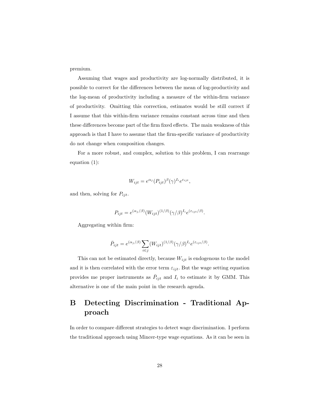premium.

Assuming that wages and productivity are log-normally distributed, it is possible to correct for the differences between the mean of log-productivity and the log-mean of productivity including a measure of the within-firm variance of productivity. Omitting this correction, estimates would be still correct if I assume that this within-firm variance remains constant across time and then these differences become part of the firm fixed effects. The main weakness of this approach is that I have to assume that the firm-specific variance of productivity do not change when composition changes.

For a more robust, and complex, solution to this problem, I can rearrange equation (1):

$$
W_{ijt} = e^{\alpha_j} (P_{ijt})^{\beta} (\gamma)^{I_i} e^{\varepsilon_{ijt}},
$$

and then, solving for  $P_{ijt}$ .

$$
P_{ijt} = e^{(\alpha_j/\beta)} (W_{ijt})^{(1/\beta)} (\gamma/\beta)^{I_i} e^{(\varepsilon_{ijt}/\beta)}.
$$

Aggregating within firm:

$$
\bar{P}_{ijt} = e^{(\alpha_j/\beta)} \sum_{i \in j} (W_{ijt})^{(1/\beta)} (\gamma/\beta)^{I_i} e^{(\varepsilon_{ijt}/\beta)}.
$$

This can not be estimated directly, because  $W_{ijt}$  is endogenous to the model and it is then correlated with the error term  $\varepsilon_{ijt}$ . But the wage setting equation provides me proper instruments as  $\bar{P}_{ijt}$  and  $I_i$  to estimate it by GMM. This alternative is one of the main point in the research agenda.

## B Detecting Discrimination - Traditional Approach

In order to compare different strategies to detect wage discrimination. I perform the traditional approach using Mincer-type wage equations. As it can be seen in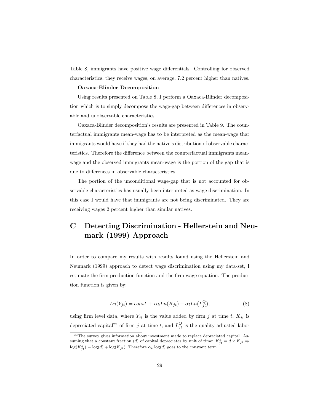Table 8, immigrants have positive wage differentials. Controlling for observed characteristics, they receive wages, on average, 7.2 percent higher than natives.

#### Oaxaca-Blinder Decomposition

Using results presented on Table 8, I perform a Oaxaca-Blinder decomposition which is to simply decompose the wage-gap between differences in observable and unobservable characteristics.

Oaxaca-Blinder decomposition's results are presented in Table 9. The counterfactual immigrants mean-wage has to be interpreted as the mean-wage that immigrants would have if they had the native's distribution of observable characteristics. Therefore the difference between the counterfactual immigrants meanwage and the observed immigrants mean-wage is the portion of the gap that is due to differences in observable characteristics.

The portion of the unconditional wage-gap that is not accounted for observable characteristics has usually been interpreted as wage discrimination. In this case I would have that immigrants are not being discriminated. They are receiving wages 2 percent higher than similar natives.

## C Detecting Discrimination - Hellerstein and Neumark (1999) Approach

In order to compare my results with results found using the Hellerstein and Neumark (1999) approach to detect wage discrimination using my data-set, I estimate the firm production function and the firm wage equation. The production function is given by:

$$
Ln(Y_{jt}) = const. + \alpha_k Ln(K_{jt}) + \alpha_l Ln(L_{jt}^Q),
$$
\n(8)

using firm level data, where  $Y_{jt}$  is the value added by firm j at time t,  $K_{jt}$  is depreciated capital<sup>22</sup> of firm j at time t, and  $L_{jt}^Q$  is the quality adjusted labor

 $22$ The survey gives information about investment made to replace depreciated capital. Assuming that a constant fraction (d) of capital depreciates by unit of time:  $K_{jt}^d = d \times K_{jt} \Rightarrow$  $\log(K_{jt}^d) = \log(d) + \log(K_{jt})$ . Therefore  $\alpha_k \log(d)$  goes to the constant term.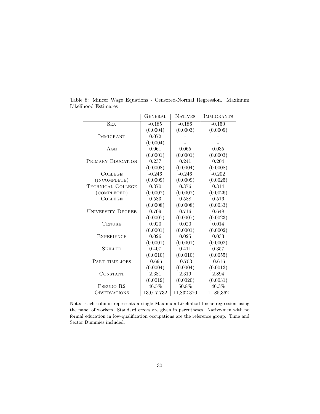|                                 | <b>GENERAL</b> | <b>NATIVES</b> | <b>IMMIGRANTS</b> |
|---------------------------------|----------------|----------------|-------------------|
| <b>SEX</b>                      | $-0.185$       | $-0.186$       | $-0.150$          |
|                                 | (0.0004)       | (0.0003)       | (0.0009)          |
| <b>IMMIGRANT</b>                | 0.072          |                |                   |
|                                 | (0.0004)       |                |                   |
| AGE                             | 0.061          | 0.065          | 0.035             |
|                                 | (0.0001)       | (0.0001)       | (0.0003)          |
| <b>PRIMARY EDUCATION</b>        | 0.237          | 0.241          | 0.204             |
|                                 | (0.0008)       | (0.0004)       | (0.0008)          |
| <b>COLLEGE</b>                  | $-0.246$       | $-0.246$       | $-0.202$          |
| (INCOMPLETE)                    | (0.0009)       | (0.0009)       | (0.0025)          |
| <b>TECHNICAL COLLEGE</b>        | 0.370          | 0.376          | 0.314             |
| $\left(\text{COMPLETED}\right)$ | (0.0007)       | (0.0007)       | (0.0026)          |
| <b>COLLEGE</b>                  | 0.583          | 0.588          | 0.516             |
|                                 | (0.0008)       | (0.0008)       | (0.0033)          |
| <b>UNIVERSITY DEGREE</b>        | 0.709          | 0.716          | 0.648             |
|                                 | (0.0007)       | (0.0007)       | (0.0023)          |
| <b>TENURE</b>                   | 0.020          | 0.020          | 0.014             |
|                                 | (0.0001)       | (0.0001)       | (0.0002)          |
| <b>EXPERIENCE</b>               | 0.026          | 0.025          | 0.033             |
|                                 | (0.0001)       | (0.0001)       | (0.0002)          |
| <b>SKILLED</b>                  | 0.407          | 0.411          | 0.357             |
|                                 | (0.0010)       | (0.0010)       | (0.0055)          |
| PART-TIME JOBS                  | $-0.696$       | $-0.703$       | $-0.616$          |
|                                 | (0.0004)       | (0.0004)       | (0.0013)          |
| CONSTANT                        | 2.381          | 2.319          | 2.894             |
|                                 | (0.0019)       | (0.0020)       | (0.0031)          |
| PSEUDO R2                       | 46.5%          | $50.8\%$       | $46.3\%$          |
| <b>OBSERVATIONS</b>             | 13,017,732     | 11,832,370     | 1,185,362         |

Table 8: Mincer Wage Equations - Censored-Normal Regression. Maximum Likelihood Estimates

Note: Each column represents a single Maximum-Likelihhod linear regression using the panel of workers. Standard errors are given in parentheses. Native-men with no formal education in low-qualification occupations are the reference group. Time and Sector Dummies included.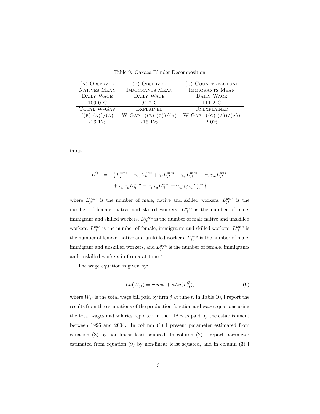Table 9: Oaxaca-Blinder Decomposition

| (A) OBSERVED    | (B) OBSERVED                 | (c) COUNTERFACTUAL            |
|-----------------|------------------------------|-------------------------------|
| NATIVES MEAN    | <b>IMMIGRANTS MEAN</b>       | <b>IMMIGRANTS MEAN</b>        |
| DAILY WAGE      | DAILY WAGE                   | DAILY WAGE                    |
| $109.0 \in$     | $94.7 \in$                   | $111.2 \in$                   |
| TOTAL W-GAP     | <b>EXPLAINED</b>             | <b>UNEXPLAINED</b>            |
| $((B)-(A))/(A)$ | $W\text{-}GAP=((B)-(C))/(A)$ | $W\text{-}GAP=((C)-(A))/(A))$ |
| $-13.1\%$       | $-15.1\%$                    | $2.0\%$                       |

input.

$$
\begin{array}{lll} L^Q&=&\left\{L^{mns}_{jt}+\gamma_wL^{wns}_{jt}+\gamma_iL^{mis}_{jt}+\gamma_uL^{mnu}_{jt}+\gamma_i\gamma_wL^{wis}_{jt}\right.\\ \\ & &+\gamma_w\gamma_uL^{wnu}_{jt}+\gamma_i\gamma_uL^{min}_{jt}+\gamma_w\gamma_i\gamma_uL^{wiu}_{jt}\left.\right\} \end{array}
$$

where  $L_{jt}^{mns}$  is the number of male, native and skilled workers,  $L_{jt}^{wns}$  is the number of female, native and skilled workers,  $L_{jt}^{mis}$  is the number of male, immigrant and skilled workers,  $L_{jt}^{mnu}$  is the number of male native and unskilled workers,  $L_{jt}^{wis}$  is the number of female, immigrants and skilled workers,  $L_{jt}^{wnu}$  is the number of female, native and unskilled workers,  $L_{jt}^{min}$  is the number of male, immigrant and unskilled workers, and  $L_{jt}^{wiu}$  is the number of female, immigrants and unskilled workers in firm  $j$  at time  $t$ .

The wage equation is given by:

$$
Ln(W_{jt}) = const. + \kappa Ln(L_{jt}^Q),
$$
\n(9)

where  $W_{jt}$  is the total wage bill paid by firm j at time t. In Table 10, I report the results from the estimations of the production function and wage equations using the total wages and salaries reported in the LIAB as paid by the establishment between 1996 and 2004. In column (1) I present parameter estimated from equation (8) by non-linear least squared, In column (2) I report parameter estimated from equation (9) by non-linear least squared, and in column (3) I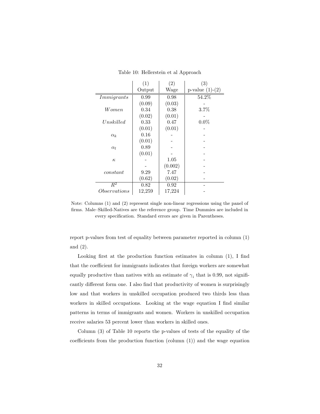|                   | (1)    | (2)     | (3)               |
|-------------------|--------|---------|-------------------|
|                   | Output | Wage    | $p-value (1)-(2)$ |
| <i>Immigrants</i> | 0.99   | 0.98    | 54.2%             |
|                   | (0.09) | (0.03)  |                   |
| Women             | 0.34   | 0.38    | 3.7%              |
|                   | (0.02) | (0.01)  |                   |
| Unskilled         | 0.33   | 0.47    | $0.0\%$           |
|                   | (0.01) | (0.01)  |                   |
| $\alpha_k$        | 0.16   |         |                   |
|                   | (0.01) |         |                   |
| $\alpha_l$        | 0.89   |         |                   |
|                   | (0.01) |         |                   |
| $\kappa$          |        | 1.05    |                   |
|                   |        | (0.002) |                   |
| constant          | 9.29   | 7.47    |                   |
|                   | (0.62) | (0.02)  |                   |
| $R^2$             | 0.82   | 0.92    |                   |
| Observations      | 12,259 | 17,224  |                   |

Table 10: Hellerstein et al Approach

Note: Columns (1) and (2) represent single non-linear regressions using the panel of firms. Male–Skilled-Natives are the reference group. Time Dummies are included in every specification. Standard errors are given in Parentheses.

report p-values from test of equality between parameter reported in column (1) and (2).

Looking first at the production function estimates in column (1), I find that the coefficient for immigrants indicates that foreign workers are somewhat equally productive than natives with an estimate of  $\gamma_i$  that is 0.99, not significantly different form one. I also find that productivity of women is surprisingly low and that workers in unskilled occupation produced two thirds less than workers in skilled occupations. Looking at the wage equation I find similar patterns in terms of immigrants and women. Workers in unskilled occupation receive salaries 53 percent lower than workers in skilled ones.

Column (3) of Table 10 reports the p-values of tests of the equality of the coefficients from the production function (column (1)) and the wage equation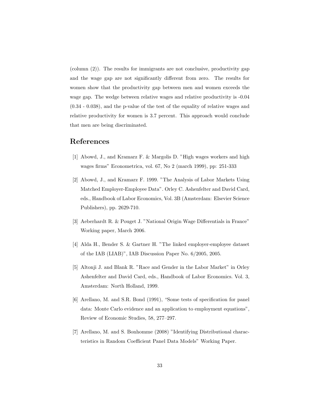(column (2)). The results for immigrants are not conclusive, productivity gap and the wage gap are not significantly different from zero. The results for women show that the productivity gap between men and women exceeds the wage gap. The wedge between relative wages and relative productivity is -0.04 (0.34 - 0.038), and the p-value of the test of the equality of relative wages and relative productivity for women is 3.7 percent. This approach would conclude that men are being discriminated.

## References

- [1] Abowd, J., and Kramarz F. & Margolis D. "High wages workers and high wages firms" Econometrica, vol. 67, No 2 (march 1999), pp: 251-333
- [2] Abowd, J., and Kramarz F. 1999. "The Analysis of Labor Markets Using Matched Employer-Employee Data". Orley C. Ashenfelter and David Card, eds., Handbook of Labor Economics, Vol. 3B (Amsterdam: Elsevier Science Publishers), pp. 2629-710.
- [3] Aeberhardt R. & Pouget J. "National Origin Wage Differentials in France" Working paper, March 2006.
- [4] Alda H., Bender S. & Gartner H. "The linked employer-employee dataset of the IAB (LIAB)", IAB Discussion Paper No. 6/2005, 2005.
- [5] Altonji J. and Blank R. "Race and Gender in the Labor Market" in Orley Ashenfelter and David Card, eds., Handbook of Labor Economics. Vol. 3, Amsterdam: North Holland, 1999.
- [6] Arellano, M. and S.R. Bond (1991), "Some tests of specification for panel data: Monte Carlo evidence and an application to employment equations", Review of Economic Studies, 58, 277–297.
- [7] Arellano, M. and S. Bonhomme (2008) "Identifying Distributional characteristics in Random Coefficient Panel Data Models" Working Paper.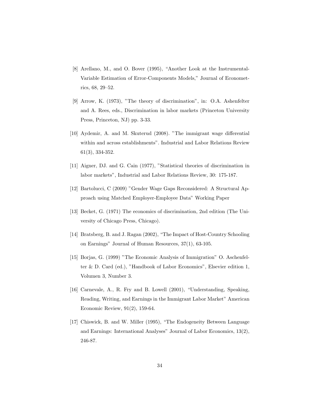- [8] Arellano, M., and O. Bover (1995), "Another Look at the Instrumental-Variable Estimation of Error-Components Models," Journal of Econometrics, 68, 29–52.
- [9] Arrow, K. (1973), "The theory of discrimination", in: O.A. Ashenfelter and A. Rees, eds., Discrimination in labor markets (Princeton University Press, Princeton, NJ) pp. 3-33.
- [10] Aydemir, A. and M. Skuterud (2008). "The immigrant wage differential within and across establishments". Industrial and Labor Relations Review 61(3), 334-352.
- [11] Aigner, DJ. and G. Cain (1977), "Statistical theories of discrimination in labor markets", Industrial and Labor Relations Review, 30: 175-187.
- [12] Bartolucci, C (2009) "Gender Wage Gaps Reconsidered: A Structural Approach using Matched Employer-Employee Data" Working Paper
- [13] Becket, G. (1971) The economics of discrimination, 2nd edition (The University of Chicago Press, Chicago).
- [14] Bratsberg, B. and J. Ragan (2002), "The Impact of Host-Country Schooling on Earnings" Journal of Human Resources, 37(1), 63-105.
- [15] Borjas, G. (1999) "The Economic Analysis of Immigration" O. Aschenfelter & D. Card (ed.), "Handbook of Labor Economics", Elsevier edition 1, Volumen 3, Number 3.
- [16] Carnevale, A., R. Fry and B. Lowell (2001), "Understanding, Speaking, Reading, Writing, and Earnings in the Immigrant Labor Market" American Economic Review, 91(2), 159-64.
- [17] Chiswick, B. and W. Miller (1995), "The Endogeneity Between Language and Earnings: International Analyses" Journal of Labor Economics, 13(2), 246-87.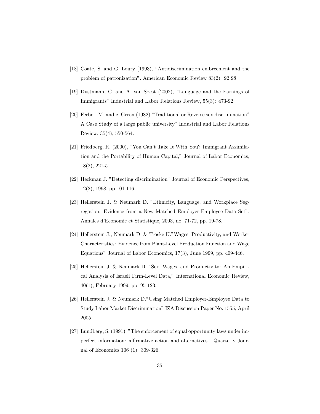- [18] Coate, S. and G. Loury (1993), "Antidiscrimination enlbrcement and the problem of patronization". American Economic Review 83(2): 92 98.
- [19] Dustmann, C. and A. van Soest (2002), "Language and the Earnings of Immigrants" Industrial and Labor Relations Review, 55(3): 473-92.
- [20] Ferber, M. and c. Green (1982) "Traditional or Reverse sex discrimination? A Case Study of a large public university" Industrial and Labor Relations Review, 35(4), 550-564.
- [21] Friedberg, R. (2000), "You Can't Take It With You? Immigrant Assimilation and the Portability of Human Capital," Journal of Labor Economics, 18(2), 221-51.
- [22] Heckman J. "Detecting discrimination" Journal of Economic Perspectives, 12(2), 1998, pp 101-116.
- [23] Hellerstein J. & Neumark D. "Ethnicity, Language, and Workplace Segregation: Evidence from a New Matched Employer-Employee Data Set", Annales d'Economie et Statistique, 2003, no. 71-72, pp. 19-78.
- [24] Hellerstein J., Neumark D. & Troske K."Wages, Productivity, and Worker Characteristics: Evidence from Plant-Level Production Function and Wage Equations" Journal of Labor Economics, 17(3), June 1999, pp. 409-446.
- [25] Hellerstein J. & Neumark D. "Sex, Wages, and Productivity: An Empirical Analysis of Israeli Firm-Level Data," International Economic Review, 40(1), February 1999, pp. 95-123.
- [26] Hellerstein J. & Neumark D."Using Matched Employer-Employee Data to Study Labor Market Discrimination" IZA Discussion Paper No. 1555, April 2005.
- [27] Lundberg, S. (1991), "The enforcement of equal opportunity laws under imperfect information: affirmative action and alternatives", Quarterly Journal of Economics 106 (1): 309-326.